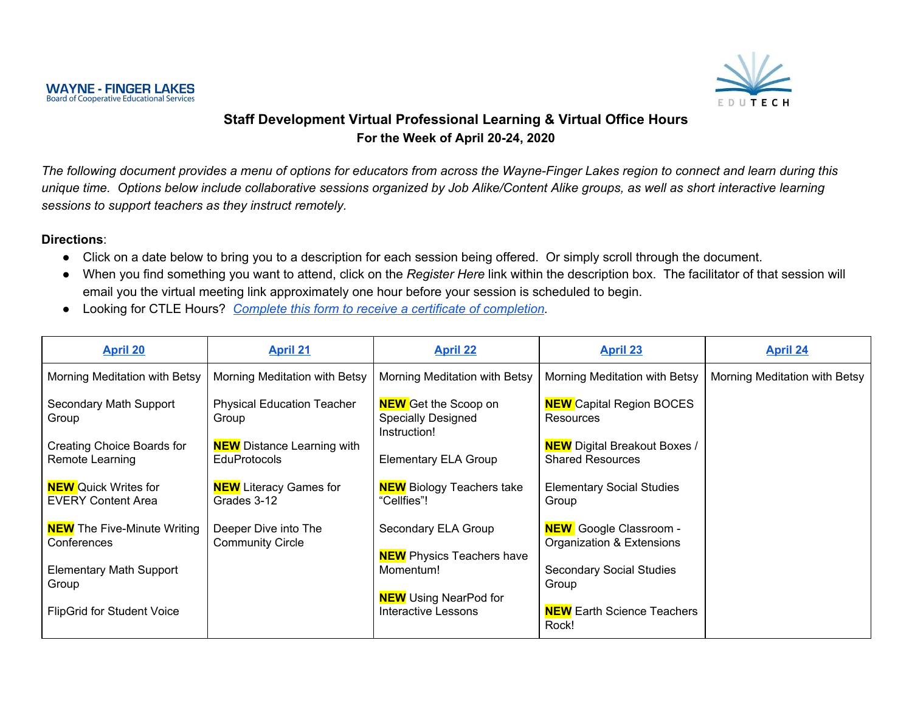

#### **Staff Development Virtual Professional Learning & Virtual Office Hours For the Week of April 20-24, 2020**

The following document provides a menu of options for educators from across the Wayne-Finger Lakes region to connect and learn during this unique time. Options below include collaborative sessions organized by Job Alike/Content Alike groups, as well as short interactive learning *sessions to support teachers as they instruct remotely.*

#### **Directions**:

- Click on a date below to bring you to a description for each session being offered. Or simply scroll through the document.
- When you find something you want to attend, click on the *Register Here* link within the description box. The facilitator of that session will email you the virtual meeting link approximately one hour before your session is scheduled to begin.
- Looking for CTLE Hours? *Complete this form to receive a certificate of [completion](https://docs.google.com/forms/d/e/1FAIpQLScnkOL_PNWekgpGCxa9MsdRPvKQslalZ6T4VBLR9Rr-VU64RA/viewform?usp=sf_link).*

| <b>April 20</b>                                          | <b>April 21</b>                                          | <b>April 22</b>                                                          | <b>April 23</b>                                                | <b>April 24</b>               |
|----------------------------------------------------------|----------------------------------------------------------|--------------------------------------------------------------------------|----------------------------------------------------------------|-------------------------------|
| Morning Meditation with Betsy                            | Morning Meditation with Betsy                            | Morning Meditation with Betsy                                            | Morning Meditation with Betsy                                  | Morning Meditation with Betsy |
| Secondary Math Support<br>Group                          | <b>Physical Education Teacher</b><br>Group               | <b>NEW</b> Get the Scoop on<br><b>Specially Designed</b><br>Instruction! | <b>NEW</b> Capital Region BOCES<br>Resources                   |                               |
| Creating Choice Boards for<br>Remote Learning            | <b>NEW</b> Distance Learning with<br><b>EduProtocols</b> | <b>Elementary ELA Group</b>                                              | <b>NEW</b> Digital Breakout Boxes /<br><b>Shared Resources</b> |                               |
| <b>NEW</b> Quick Writes for<br><b>EVERY Content Area</b> | <b>NEW</b> Literacy Games for<br>Grades 3-12             | <b>NEW</b> Biology Teachers take<br>"Cellfies"!                          | <b>Elementary Social Studies</b><br>Group                      |                               |
| <b>NEW</b> The Five-Minute Writing<br>Conferences        | Deeper Dive into The<br><b>Community Circle</b>          | Secondary ELA Group<br><b>NEW</b> Physics Teachers have                  | <b>NEW</b> Google Classroom -<br>Organization & Extensions     |                               |
| <b>Elementary Math Support</b><br>Group                  |                                                          | Momentum!<br><b>NEW</b> Using NearPod for                                | <b>Secondary Social Studies</b><br>Group                       |                               |
| <b>FlipGrid for Student Voice</b>                        |                                                          | <b>Interactive Lessons</b>                                               | <b>NEW</b> Earth Science Teachers<br>Rock!                     |                               |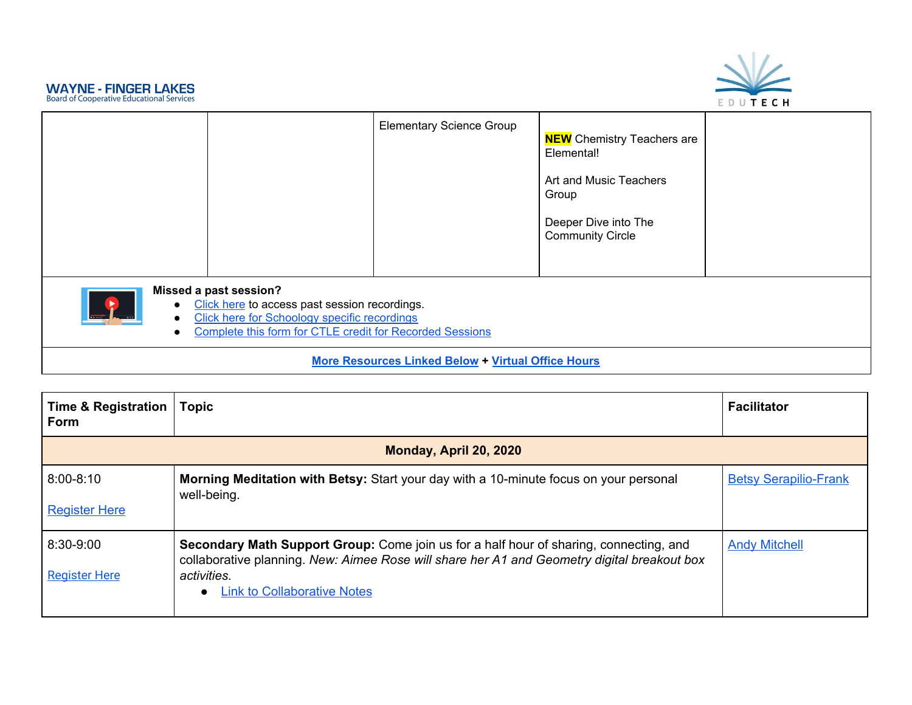



|                                     |                                                                                                                                                                                     | <b>Elementary Science Group</b>                           | <b>NEW</b> Chemistry Teachers are<br>Elemental!<br>Art and Music Teachers<br>Group<br>Deeper Dive into The<br><b>Community Circle</b> |  |
|-------------------------------------|-------------------------------------------------------------------------------------------------------------------------------------------------------------------------------------|-----------------------------------------------------------|---------------------------------------------------------------------------------------------------------------------------------------|--|
| <b>TA</b><br>$\bullet$<br>$\bullet$ | Missed a past session?<br>Click here to access past session recordings.<br>Click here for Schoology specific recordings<br>Complete this form for CTLE credit for Recorded Sessions |                                                           |                                                                                                                                       |  |
|                                     |                                                                                                                                                                                     | <b>More Resources Linked Below + Virtual Office Hours</b> |                                                                                                                                       |  |

<span id="page-1-0"></span>

| Time & Registration<br>Form           | <b>Topic</b>                                                                                                                                                                                                                                      | <b>Facilitator</b>           |  |
|---------------------------------------|---------------------------------------------------------------------------------------------------------------------------------------------------------------------------------------------------------------------------------------------------|------------------------------|--|
|                                       | Monday, April 20, 2020                                                                                                                                                                                                                            |                              |  |
| $8:00 - 8:10$<br><b>Register Here</b> | Morning Meditation with Betsy: Start your day with a 10-minute focus on your personal<br>well-being.                                                                                                                                              | <b>Betsy Serapilio-Frank</b> |  |
| 8:30-9:00<br><b>Register Here</b>     | <b>Secondary Math Support Group:</b> Come join us for a half hour of sharing, connecting, and<br>collaborative planning. New: Aimee Rose will share her A1 and Geometry digital breakout box<br>activities.<br><b>Link to Collaborative Notes</b> | <b>Andy Mitchell</b>         |  |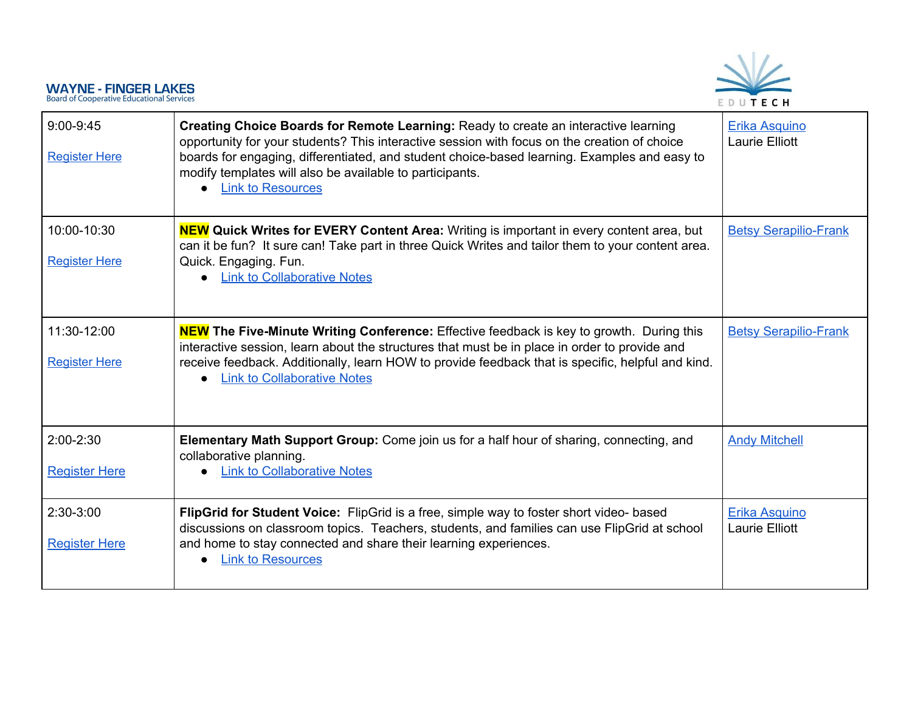

| $9:00-9:45$<br><b>Register Here</b>   | Creating Choice Boards for Remote Learning: Ready to create an interactive learning<br>opportunity for your students? This interactive session with focus on the creation of choice<br>boards for engaging, differentiated, and student choice-based learning. Examples and easy to<br>modify templates will also be available to participants.<br><b>Link to Resources</b><br>$\bullet$ | Erika Asquino<br><b>Laurie Elliott</b> |
|---------------------------------------|------------------------------------------------------------------------------------------------------------------------------------------------------------------------------------------------------------------------------------------------------------------------------------------------------------------------------------------------------------------------------------------|----------------------------------------|
| 10:00-10:30<br><b>Register Here</b>   | <b>NEW</b> Quick Writes for EVERY Content Area: Writing is important in every content area, but<br>can it be fun? It sure can! Take part in three Quick Writes and tailor them to your content area.<br>Quick. Engaging. Fun.<br><b>Link to Collaborative Notes</b>                                                                                                                      | <b>Betsy Serapilio-Frank</b>           |
| 11:30-12:00<br><b>Register Here</b>   | <b>NEW The Five-Minute Writing Conference:</b> Effective feedback is key to growth. During this<br>interactive session, learn about the structures that must be in place in order to provide and<br>receive feedback. Additionally, learn HOW to provide feedback that is specific, helpful and kind.<br><b>Link to Collaborative Notes</b>                                              | <b>Betsy Serapilio-Frank</b>           |
| $2:00 - 2:30$<br><b>Register Here</b> | Elementary Math Support Group: Come join us for a half hour of sharing, connecting, and<br>collaborative planning.<br><b>Link to Collaborative Notes</b>                                                                                                                                                                                                                                 | <b>Andy Mitchell</b>                   |
| $2:30-3:00$<br><b>Register Here</b>   | FlipGrid for Student Voice: FlipGrid is a free, simple way to foster short video- based<br>discussions on classroom topics. Teachers, students, and families can use FlipGrid at school<br>and home to stay connected and share their learning experiences.<br><b>Link to Resources</b><br>$\bullet$                                                                                     | Erika Asquino<br>Laurie Elliott        |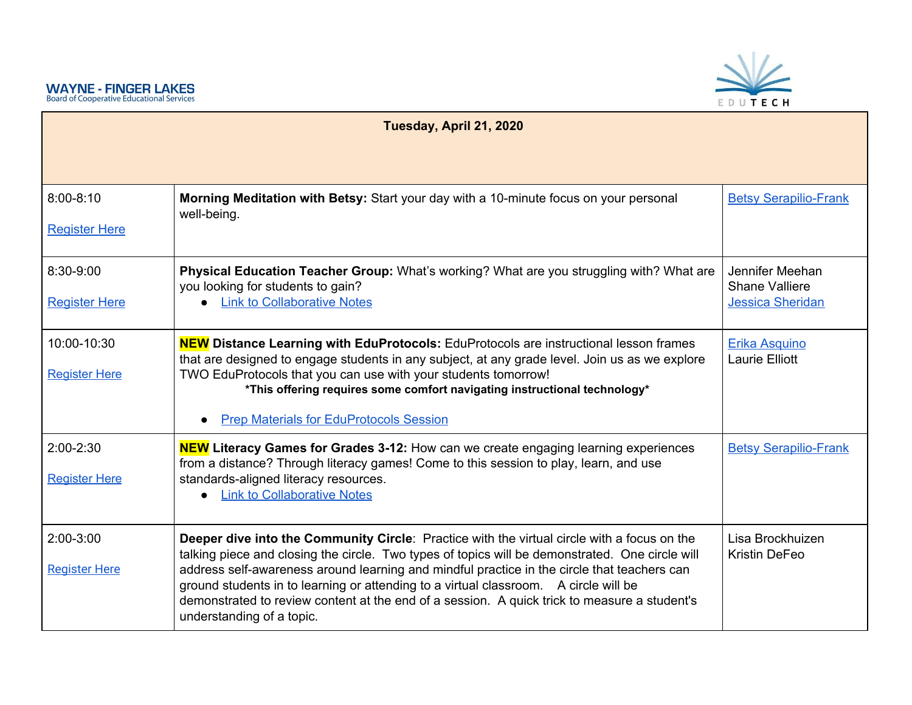<span id="page-3-0"></span>

| Tuesday, April 21, 2020 |                                                                                                                                                                                                                                                                                                                  |                                          |
|-------------------------|------------------------------------------------------------------------------------------------------------------------------------------------------------------------------------------------------------------------------------------------------------------------------------------------------------------|------------------------------------------|
|                         |                                                                                                                                                                                                                                                                                                                  |                                          |
| $8:00 - 8:10$           | Morning Meditation with Betsy: Start your day with a 10-minute focus on your personal<br>well-being.                                                                                                                                                                                                             | <b>Betsy Serapilio-Frank</b>             |
| <b>Register Here</b>    |                                                                                                                                                                                                                                                                                                                  |                                          |
| 8:30-9:00               | Physical Education Teacher Group: What's working? What are you struggling with? What are<br>you looking for students to gain?                                                                                                                                                                                    | Jennifer Meehan<br><b>Shane Valliere</b> |
| <b>Register Here</b>    | • Link to Collaborative Notes                                                                                                                                                                                                                                                                                    | <b>Jessica Sheridan</b>                  |
| 10:00-10:30             | <b>NEW</b> Distance Learning with EduProtocols: EduProtocols are instructional lesson frames<br>that are designed to engage students in any subject, at any grade level. Join us as we explore                                                                                                                   | Erika Asquino<br><b>Laurie Elliott</b>   |
| <b>Register Here</b>    | TWO EduProtocols that you can use with your students tomorrow!<br>*This offering requires some comfort navigating instructional technology*                                                                                                                                                                      |                                          |
|                         | <b>Prep Materials for EduProtocols Session</b>                                                                                                                                                                                                                                                                   |                                          |
| 2:00-2:30               | <b>NEW</b> Literacy Games for Grades 3-12: How can we create engaging learning experiences<br>from a distance? Through literacy games! Come to this session to play, learn, and use                                                                                                                              | <b>Betsy Serapilio-Frank</b>             |
| <b>Register Here</b>    | standards-aligned literacy resources.<br><b>Link to Collaborative Notes</b>                                                                                                                                                                                                                                      |                                          |
| $2:00-3:00$             | Deeper dive into the Community Circle: Practice with the virtual circle with a focus on the<br>talking piece and closing the circle. Two types of topics will be demonstrated. One circle will                                                                                                                   | Lisa Brockhuizen<br>Kristin DeFeo        |
| <b>Register Here</b>    | address self-awareness around learning and mindful practice in the circle that teachers can<br>ground students in to learning or attending to a virtual classroom. A circle will be<br>demonstrated to review content at the end of a session. A quick trick to measure a student's<br>understanding of a topic. |                                          |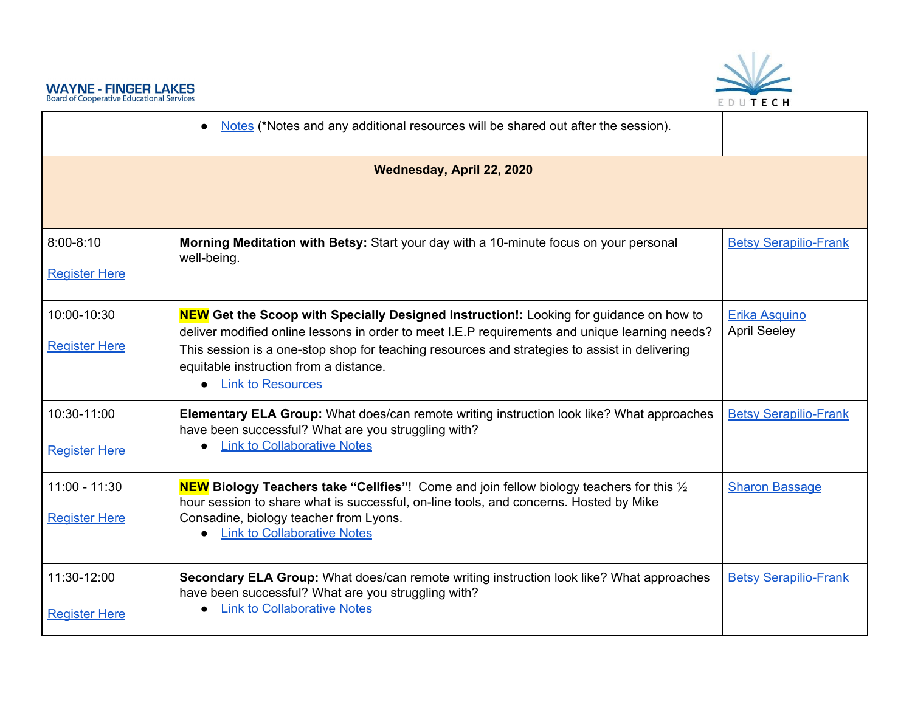

<span id="page-4-0"></span>



|                                     | Notes (*Notes and any additional resources will be shared out after the session).<br>$\bullet$                                                                                                             |                                      |
|-------------------------------------|------------------------------------------------------------------------------------------------------------------------------------------------------------------------------------------------------------|--------------------------------------|
|                                     | Wednesday, April 22, 2020                                                                                                                                                                                  |                                      |
|                                     |                                                                                                                                                                                                            |                                      |
| $8:00 - 8:10$                       | Morning Meditation with Betsy: Start your day with a 10-minute focus on your personal<br>well-being.                                                                                                       | <b>Betsy Serapilio-Frank</b>         |
| <b>Register Here</b>                |                                                                                                                                                                                                            |                                      |
| 10:00-10:30                         | <b>NEW</b> Get the Scoop with Specially Designed Instruction!: Looking for guidance on how to<br>deliver modified online lessons in order to meet I.E.P requirements and unique learning needs?            | Erika Asquino<br><b>April Seeley</b> |
| <b>Register Here</b>                | This session is a one-stop shop for teaching resources and strategies to assist in delivering<br>equitable instruction from a distance.<br><b>Link to Resources</b>                                        |                                      |
| 10:30-11:00<br><b>Register Here</b> | <b>Elementary ELA Group:</b> What does/can remote writing instruction look like? What approaches<br>have been successful? What are you struggling with?<br><b>Link to Collaborative Notes</b><br>$\bullet$ | <b>Betsy Serapilio-Frank</b>         |
|                                     |                                                                                                                                                                                                            |                                      |
| $11:00 - 11:30$                     | <b>NEW</b> Biology Teachers take "Cellfies"! Come and join fellow biology teachers for this 1/2<br>hour session to share what is successful, on-line tools, and concerns. Hosted by Mike                   | <b>Sharon Bassage</b>                |
| <b>Register Here</b>                | Consadine, biology teacher from Lyons.<br><b>Link to Collaborative Notes</b>                                                                                                                               |                                      |
| 11:30-12:00                         | Secondary ELA Group: What does/can remote writing instruction look like? What approaches<br>have been successful? What are you struggling with?                                                            | <b>Betsy Serapilio-Frank</b>         |
| <b>Register Here</b>                | <b>Link to Collaborative Notes</b>                                                                                                                                                                         |                                      |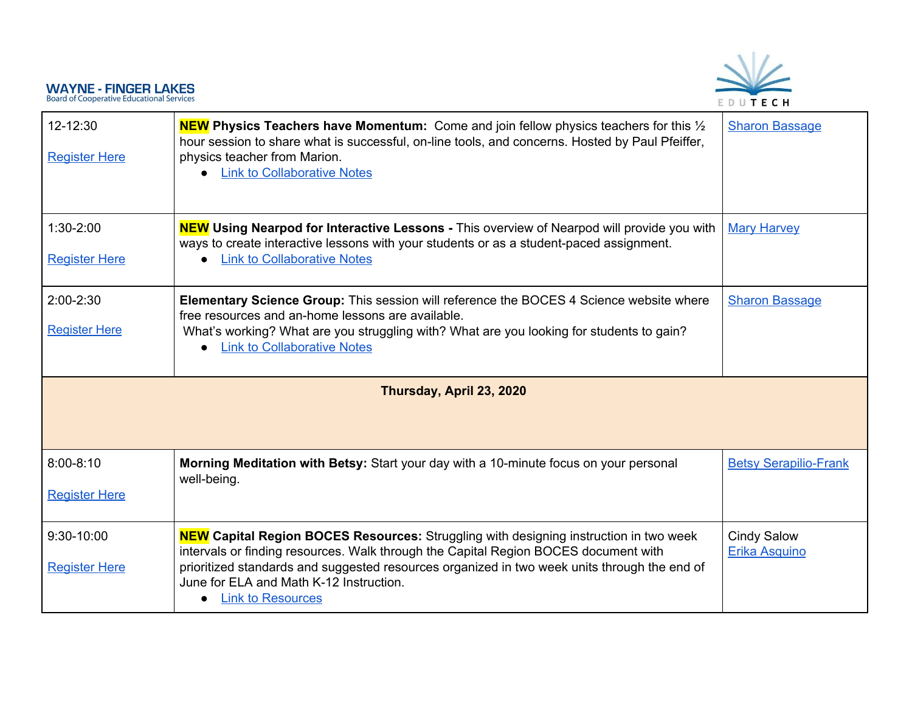# EDUTECH

<span id="page-5-0"></span>

| 12-12:30<br><b>Register Here</b>      | <b>NEW</b> Physics Teachers have Momentum: Come and join fellow physics teachers for this $\frac{1}{2}$<br>hour session to share what is successful, on-line tools, and concerns. Hosted by Paul Pfeiffer,<br>physics teacher from Marion.<br><b>Link to Collaborative Notes</b>                                                                           | <b>Sharon Bassage</b>                      |
|---------------------------------------|------------------------------------------------------------------------------------------------------------------------------------------------------------------------------------------------------------------------------------------------------------------------------------------------------------------------------------------------------------|--------------------------------------------|
| $1:30-2:00$<br><b>Register Here</b>   | <b>NEW</b> Using Nearpod for Interactive Lessons - This overview of Nearpod will provide you with<br>ways to create interactive lessons with your students or as a student-paced assignment.<br><b>Link to Collaborative Notes</b>                                                                                                                         | <b>Mary Harvey</b>                         |
| $2:00 - 2:30$<br><b>Register Here</b> | <b>Elementary Science Group:</b> This session will reference the BOCES 4 Science website where<br>free resources and an-home lessons are available.<br>What's working? What are you struggling with? What are you looking for students to gain?<br><b>Link to Collaborative Notes</b><br>$\bullet$                                                         | <b>Sharon Bassage</b>                      |
| Thursday, April 23, 2020              |                                                                                                                                                                                                                                                                                                                                                            |                                            |
| $8:00 - 8:10$<br><b>Register Here</b> | Morning Meditation with Betsy: Start your day with a 10-minute focus on your personal<br>well-being.                                                                                                                                                                                                                                                       | <b>Betsy Serapilio-Frank</b>               |
| 9:30-10:00<br><b>Register Here</b>    | <b>NEW Capital Region BOCES Resources:</b> Struggling with designing instruction in two week<br>intervals or finding resources. Walk through the Capital Region BOCES document with<br>prioritized standards and suggested resources organized in two week units through the end of<br>June for ELA and Math K-12 Instruction.<br><b>Link to Resources</b> | <b>Cindy Salow</b><br><b>Erika Asquino</b> |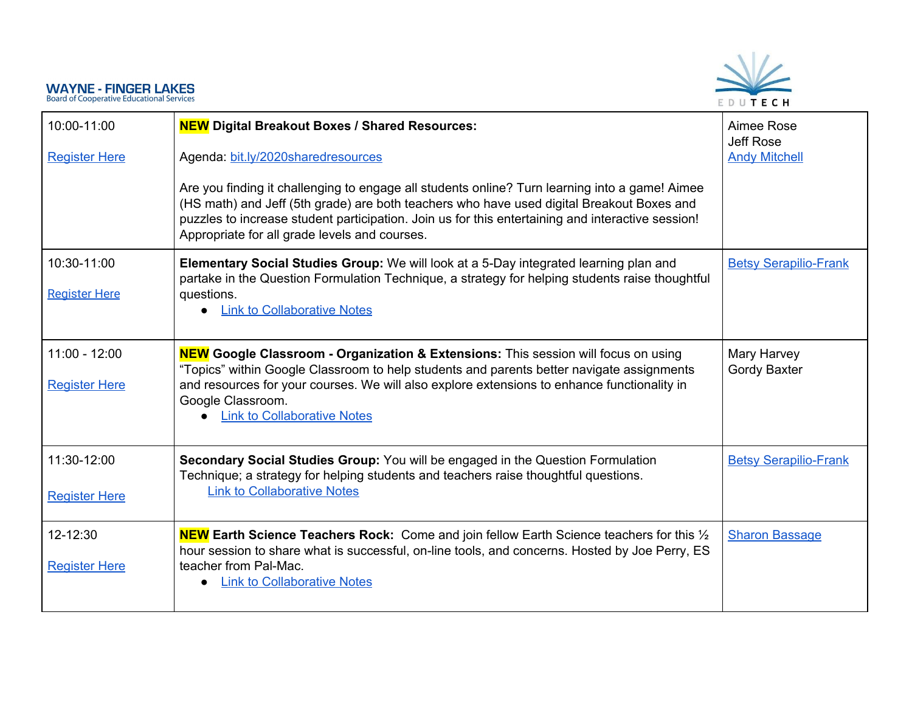

| 10:00-11:00<br><b>Register Here</b>     | <b>NEW</b> Digital Breakout Boxes / Shared Resources:<br>Agenda: bit.ly/2020sharedresources<br>Are you finding it challenging to engage all students online? Turn learning into a game! Aimee<br>(HS math) and Jeff (5th grade) are both teachers who have used digital Breakout Boxes and<br>puzzles to increase student participation. Join us for this entertaining and interactive session!<br>Appropriate for all grade levels and courses. | Aimee Rose<br><b>Jeff Rose</b><br><b>Andy Mitchell</b> |
|-----------------------------------------|--------------------------------------------------------------------------------------------------------------------------------------------------------------------------------------------------------------------------------------------------------------------------------------------------------------------------------------------------------------------------------------------------------------------------------------------------|--------------------------------------------------------|
| 10:30-11:00<br><b>Register Here</b>     | Elementary Social Studies Group: We will look at a 5-Day integrated learning plan and<br>partake in the Question Formulation Technique, a strategy for helping students raise thoughtful<br>questions.<br><b>Link to Collaborative Notes</b>                                                                                                                                                                                                     | <b>Betsy Serapilio-Frank</b>                           |
| $11:00 - 12:00$<br><b>Register Here</b> | <b>NEW</b> Google Classroom - Organization & Extensions: This session will focus on using<br>"Topics" within Google Classroom to help students and parents better navigate assignments<br>and resources for your courses. We will also explore extensions to enhance functionality in<br>Google Classroom.<br><b>Link to Collaborative Notes</b>                                                                                                 | Mary Harvey<br>Gordy Baxter                            |
| 11:30-12:00<br><b>Register Here</b>     | Secondary Social Studies Group: You will be engaged in the Question Formulation<br>Technique; a strategy for helping students and teachers raise thoughtful questions.<br><b>Link to Collaborative Notes</b>                                                                                                                                                                                                                                     | <b>Betsy Serapilio-Frank</b>                           |
| 12-12:30<br><b>Register Here</b>        | <b>NEW Earth Science Teachers Rock:</b> Come and join fellow Earth Science teachers for this $\frac{1}{2}$<br>hour session to share what is successful, on-line tools, and concerns. Hosted by Joe Perry, ES<br>teacher from Pal-Mac.<br><b>Link to Collaborative Notes</b>                                                                                                                                                                      | <b>Sharon Bassage</b>                                  |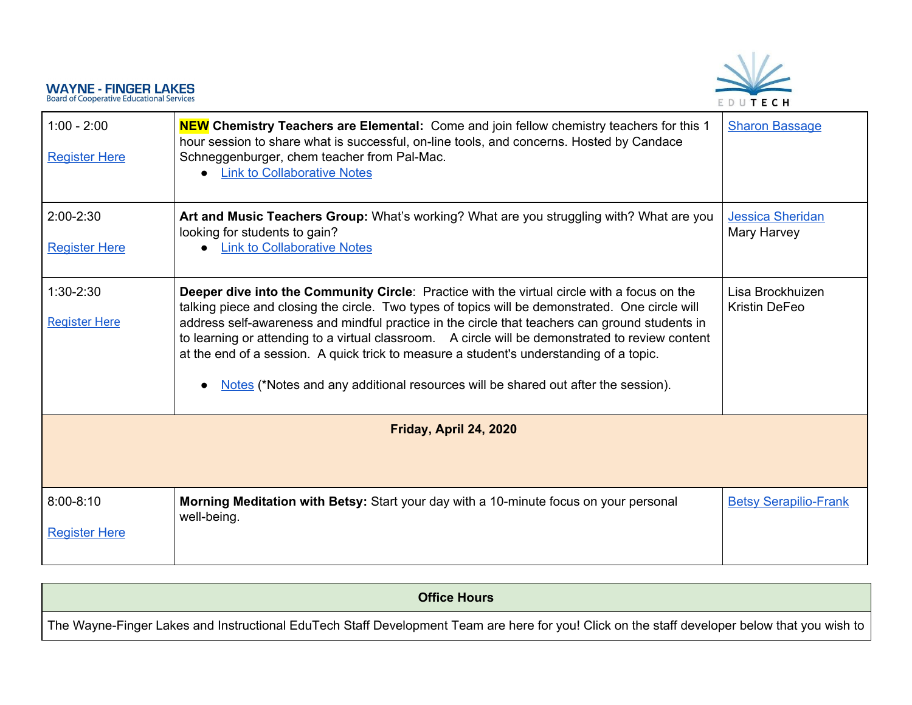

| $1:00 - 2:00$<br><b>Register Here</b> | <b>NEW Chemistry Teachers are Elemental:</b> Come and join fellow chemistry teachers for this 1<br>hour session to share what is successful, on-line tools, and concerns. Hosted by Candace<br>Schneggenburger, chem teacher from Pal-Mac.<br><b>Link to Collaborative Notes</b>                                                                                                                                                                                                                                                                                                     | <b>Sharon Bassage</b>                    |
|---------------------------------------|--------------------------------------------------------------------------------------------------------------------------------------------------------------------------------------------------------------------------------------------------------------------------------------------------------------------------------------------------------------------------------------------------------------------------------------------------------------------------------------------------------------------------------------------------------------------------------------|------------------------------------------|
| $2:00 - 2:30$<br><b>Register Here</b> | Art and Music Teachers Group: What's working? What are you struggling with? What are you<br>looking for students to gain?<br><b>Link to Collaborative Notes</b>                                                                                                                                                                                                                                                                                                                                                                                                                      | <b>Jessica Sheridan</b><br>Mary Harvey   |
| $1:30-2:30$<br><b>Register Here</b>   | Deeper dive into the Community Circle: Practice with the virtual circle with a focus on the<br>talking piece and closing the circle. Two types of topics will be demonstrated. One circle will<br>address self-awareness and mindful practice in the circle that teachers can ground students in<br>to learning or attending to a virtual classroom. A circle will be demonstrated to review content<br>at the end of a session. A quick trick to measure a student's understanding of a topic.<br>Notes (*Notes and any additional resources will be shared out after the session). | Lisa Brockhuizen<br><b>Kristin DeFeo</b> |
| Friday, April 24, 2020                |                                                                                                                                                                                                                                                                                                                                                                                                                                                                                                                                                                                      |                                          |
| $8:00 - 8:10$<br><b>Register Here</b> | Morning Meditation with Betsy: Start your day with a 10-minute focus on your personal<br>well-being.                                                                                                                                                                                                                                                                                                                                                                                                                                                                                 | <b>Betsy Serapilio-Frank</b>             |

<span id="page-7-1"></span><span id="page-7-0"></span>

| <b>Office Hours</b>                                                                                                                           |
|-----------------------------------------------------------------------------------------------------------------------------------------------|
| The Wayne-Finger Lakes and Instructional EduTech Staff Development Team are here for you! Click on the staff developer below that you wish to |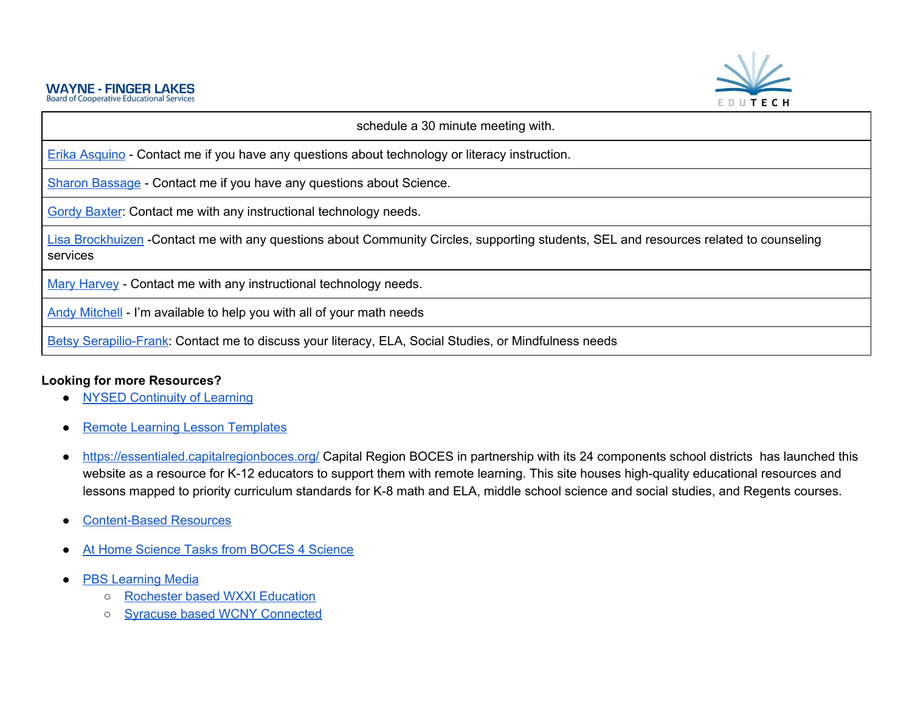

| schedule a 30 minute meeting with.                                                                                                                |
|---------------------------------------------------------------------------------------------------------------------------------------------------|
| Erika Asquino - Contact me if you have any questions about technology or literacy instruction.                                                    |
| Sharon Bassage - Contact me if you have any questions about Science.                                                                              |
| <b>Gordy Baxter: Contact me with any instructional technology needs.</b>                                                                          |
| Lisa Brockhuizen -Contact me with any questions about Community Circles, supporting students, SEL and resources related to counseling<br>services |
| Mary Harvey - Contact me with any instructional technology needs.                                                                                 |
| Andy Mitchell - I'm available to help you with all of your math needs                                                                             |
| Betsy Serapilio-Frank: Contact me to discuss your literacy, ELA, Social Studies, or Mindfulness needs                                             |

#### <span id="page-8-0"></span>**Looking for more Resources?**

- NYSED [Continuity](http://www.nysed.gov/edtech/continuity-learning) of Learning
- Remote Learning Lesson [Templates](https://docs.google.com/document/d/18kBDqTylqs1uJsEIcz8THID0xl7eZ4hma6eKcxOnkUs/edit?usp=sharing)
- . <https://essentialed.capitalregionboces.org/> Capital Region BOCES in partnership with its 24 components school districts has launched this website as a resource for K-12 educators to support them with remote learning. This site houses high-quality educational resources and lessons mapped to priority curriculum standards for K-8 math and ELA, middle school science and social studies, and Regents courses.
- [Content-Based](https://resources.finalsite.net/images/v1584376377/wflbocesorg/kyrl4aeceijf7t0bztbb/ContentBasedResourcesforEducators.pdf) Resources
- At Home [Science](https://sites.google.com/wflboces.org/boces4science/all-science-curriculum-units/tasks-for-at-home-students) Tasks from BOCES 4 Science
- PBS [Learning](https://ny.pbslearningmedia.org/) Media
	- [Rochester](https://www.wxxi.org/education) based WXXI Education
	- o Syracuse based WCNY [Connected](http://www.wcny.org/stayconnected/)